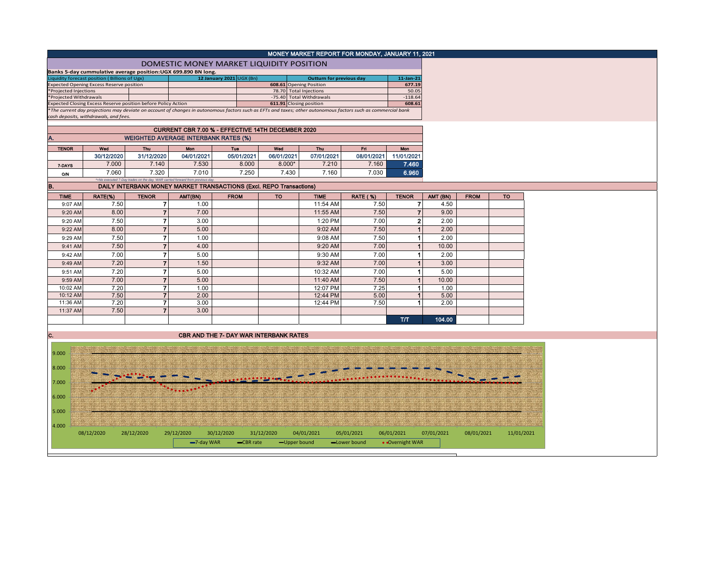|                        |                                                                                                                                                                                                        |                                                                               |                                                   |                                               |            |                          |                                 | MONEY MARKET REPORT FOR MONDAY, JANUARY 11, 2021 |                        |                        |             |            |
|------------------------|--------------------------------------------------------------------------------------------------------------------------------------------------------------------------------------------------------|-------------------------------------------------------------------------------|---------------------------------------------------|-----------------------------------------------|------------|--------------------------|---------------------------------|--------------------------------------------------|------------------------|------------------------|-------------|------------|
|                        |                                                                                                                                                                                                        |                                                                               | DOMESTIC MONEY MARKET LIQUIDITY POSITION          |                                               |            |                          |                                 |                                                  |                        |                        |             |            |
|                        | Banks 5-day cummulative average position: UGX 699.890 BN long.                                                                                                                                         |                                                                               |                                                   |                                               |            |                          |                                 |                                                  |                        |                        |             |            |
|                        | iquidity forecast position (Billions of Ugx)<br><b>Expected Opening Excess Reserve position</b>                                                                                                        |                                                                               |                                                   | 12 January 2021 UGX (Bn)                      |            | 608.61 Opening Position  | <b>Outturn for previous day</b> |                                                  | $11$ -Jan-21<br>677.19 |                        |             |            |
| *Projected Injections  |                                                                                                                                                                                                        |                                                                               |                                                   |                                               |            | 78.70 Total Injections   |                                 |                                                  | 50.05                  |                        |             |            |
| *Projected Withdrawals |                                                                                                                                                                                                        |                                                                               |                                                   |                                               |            | -75.40 Total Withdrawals |                                 |                                                  | $-118.64$              |                        |             |            |
|                        | Expected Closing Excess Reserve position before Policy Action                                                                                                                                          |                                                                               |                                                   |                                               |            | 611.91 Closing position  |                                 |                                                  | 608.61                 |                        |             |            |
|                        | *The current day projections may deviate on account of changes in autonomous factors such as EFTs and taxes; other autonomous factors such as commercial bank<br>cash deposits, withdrawals, and fees. |                                                                               |                                                   |                                               |            |                          |                                 |                                                  |                        |                        |             |            |
|                        |                                                                                                                                                                                                        |                                                                               |                                                   |                                               |            |                          |                                 |                                                  |                        |                        |             |            |
|                        |                                                                                                                                                                                                        |                                                                               | CURRENT CBR 7.00 % - EFFECTIVE 14TH DECEMBER 2020 |                                               |            |                          |                                 |                                                  |                        |                        |             |            |
|                        |                                                                                                                                                                                                        | <b>WEIGHTED AVERAGE INTERBANK RATES (%)</b>                                   |                                                   |                                               |            |                          |                                 |                                                  |                        |                        |             |            |
| <b>TENOR</b>           | Wed                                                                                                                                                                                                    | Thu                                                                           | Mon                                               | Tue                                           | Wed        |                          | <b>Thu</b>                      | Fri.                                             | Mon                    |                        |             |            |
|                        | 30/12/2020                                                                                                                                                                                             | 31/12/2020                                                                    | 04/01/2021                                        | 05/01/2021                                    | 06/01/2021 |                          | 07/01/2021                      | 08/01/2021                                       | 11/01/2021             |                        |             |            |
|                        | 7.000                                                                                                                                                                                                  | 7.140                                                                         | 7.530                                             | 8.000                                         |            | $8.000*$                 | 7.210                           | 7.160                                            | 7.460                  |                        |             |            |
| 7-DAYS                 | 7.060                                                                                                                                                                                                  | 7.320                                                                         | 7.010                                             | 7.250                                         |            | 7.430                    | 7.160                           | 7.030                                            | 6.960                  |                        |             |            |
| O/N                    |                                                                                                                                                                                                        | *=No executed 7-Day trades on the day. WAR carried forward from previous day. |                                                   |                                               |            |                          |                                 |                                                  |                        |                        |             |            |
| B.                     |                                                                                                                                                                                                        | DAILY INTERBANK MONEY MARKET TRANSACTIONS (Excl. REPO Transactions)           |                                                   |                                               |            |                          |                                 |                                                  |                        |                        |             |            |
| <b>TIME</b>            | RATE(%)                                                                                                                                                                                                | <b>TENOR</b>                                                                  | AMT(BN)                                           | <b>FROM</b>                                   | <b>TO</b>  |                          | <b>TIME</b>                     | <b>RATE (%)</b>                                  | <b>TENOR</b>           | AMT (BN)               | <b>FROM</b> | <b>TO</b>  |
| 9:07 AM                | 7.50                                                                                                                                                                                                   | 71                                                                            | 1.00                                              |                                               |            |                          | 11:54 AM                        | 7.50                                             |                        | 7<br>4.50              |             |            |
| 9:20 AM                | 8.00                                                                                                                                                                                                   | $\overline{7}$                                                                | 7.00                                              |                                               |            |                          | 11:55 AM                        | 7.50                                             |                        | $\overline{7}$<br>9.00 |             |            |
| 9:20 AM                | 7.50                                                                                                                                                                                                   | $\overline{ }$                                                                | 3.00                                              |                                               |            |                          | 1:20 PM                         | 7.00                                             |                        | $\mathbf{2}$<br>2.00   |             |            |
| 9:22 AM                | 8.00                                                                                                                                                                                                   | $\overline{7}$                                                                | 5.00                                              |                                               |            |                          | 9:02 AM                         | 7.50                                             |                        | $\overline{1}$<br>2.00 |             |            |
|                        |                                                                                                                                                                                                        | $\overline{7}$                                                                |                                                   |                                               |            |                          |                                 |                                                  |                        | $\blacktriangleleft$   |             |            |
| 9:29 AM                | 7.50                                                                                                                                                                                                   |                                                                               | 1.00                                              |                                               |            |                          | 9:08 AM                         | 7.50                                             |                        | 2.00                   |             |            |
| 9:41 AM                | 7.50                                                                                                                                                                                                   | $\overline{7}$                                                                | 4.00                                              |                                               |            |                          | 9:20 AM                         | 7.00                                             |                        | $\mathbf{1}$<br>10.00  |             |            |
| 9:42 AM                | 7.00                                                                                                                                                                                                   | $\overline{7}$                                                                | 5.00                                              |                                               |            |                          | 9:30 AM                         | 7.00                                             |                        | 2.00<br>1              |             |            |
| 9:49 AM                | 7.20                                                                                                                                                                                                   | $\overline{7}$                                                                | 1.50                                              |                                               |            |                          | 9:32 AM                         | 7.00                                             |                        | 3.00<br>$\mathbf{1}$   |             |            |
| 9:51 AM                | 7.20                                                                                                                                                                                                   | $\overline{7}$                                                                | 5.00                                              |                                               |            |                          | 10:32 AM                        | 7.00                                             |                        | $\mathbf{1}$<br>5.00   |             |            |
| 9:59 AM                | 7.00                                                                                                                                                                                                   | $\overline{7}$                                                                | 5.00                                              |                                               |            |                          | 11:40 AM                        | 7.50                                             |                        | 1<br>10.00             |             |            |
| 10:02 AM               | 7.20                                                                                                                                                                                                   | 7                                                                             | 1.00                                              |                                               |            |                          | 12:07 PM                        | 7.25                                             |                        | $\mathbf{1}$<br>1.00   |             |            |
| 10:12 AM               | 7.50                                                                                                                                                                                                   | $\overline{7}$                                                                | 2.00                                              |                                               |            |                          | 12:44 PM                        | 5.00                                             |                        | 1<br>5.00              |             |            |
| 11:36 AM               | 7.20                                                                                                                                                                                                   | 7                                                                             | 3.00                                              |                                               |            |                          | 12:44 PM                        | 7.50                                             |                        | $\mathbf{1}$<br>2.00   |             |            |
| 11:37 AM               | 7.50                                                                                                                                                                                                   | $\overline{7}$                                                                | 3.00                                              |                                               |            |                          |                                 |                                                  |                        |                        |             |            |
|                        |                                                                                                                                                                                                        |                                                                               |                                                   |                                               |            |                          |                                 |                                                  | T/T                    | 104.00                 |             |            |
|                        |                                                                                                                                                                                                        |                                                                               |                                                   |                                               |            |                          |                                 |                                                  |                        |                        |             |            |
| IC.                    |                                                                                                                                                                                                        |                                                                               |                                                   | <b>CBR AND THE 7- DAY WAR INTERBANK RATES</b> |            |                          |                                 |                                                  |                        |                        |             |            |
|                        |                                                                                                                                                                                                        |                                                                               |                                                   |                                               |            |                          |                                 |                                                  |                        |                        |             |            |
| 9.000                  |                                                                                                                                                                                                        |                                                                               |                                                   |                                               |            |                          |                                 |                                                  |                        |                        |             |            |
|                        |                                                                                                                                                                                                        |                                                                               |                                                   |                                               |            |                          |                                 |                                                  |                        |                        |             |            |
| 8.000                  |                                                                                                                                                                                                        |                                                                               |                                                   |                                               |            |                          |                                 |                                                  |                        |                        |             |            |
|                        |                                                                                                                                                                                                        |                                                                               |                                                   |                                               |            |                          |                                 |                                                  |                        |                        |             |            |
| 7.000                  |                                                                                                                                                                                                        |                                                                               |                                                   |                                               |            |                          |                                 |                                                  |                        |                        |             |            |
| 6.000                  |                                                                                                                                                                                                        |                                                                               |                                                   |                                               |            |                          |                                 |                                                  |                        |                        |             |            |
|                        |                                                                                                                                                                                                        |                                                                               |                                                   |                                               |            |                          |                                 |                                                  |                        |                        |             |            |
| 5.000                  |                                                                                                                                                                                                        |                                                                               |                                                   |                                               |            |                          |                                 |                                                  |                        |                        |             |            |
|                        |                                                                                                                                                                                                        |                                                                               |                                                   |                                               |            |                          |                                 |                                                  |                        |                        |             |            |
| 4.000                  |                                                                                                                                                                                                        |                                                                               |                                                   |                                               |            |                          |                                 |                                                  |                        |                        |             |            |
|                        | 08/12/2020                                                                                                                                                                                             | 28/12/2020                                                                    | 29/12/2020                                        | 30/12/2020                                    | 31/12/2020 | 04/01/2021               |                                 | 05/01/2021                                       | 06/01/2021             | 07/01/2021             | 08/01/2021  | 11/01/2021 |
|                        |                                                                                                                                                                                                        |                                                                               | $-7$ -day WAR                                     | -CBR rate                                     |            | -Upper bound             |                                 | -Lower bound                                     | • Overnight WAR        |                        |             |            |
|                        |                                                                                                                                                                                                        |                                                                               |                                                   |                                               |            |                          |                                 |                                                  |                        |                        |             |            |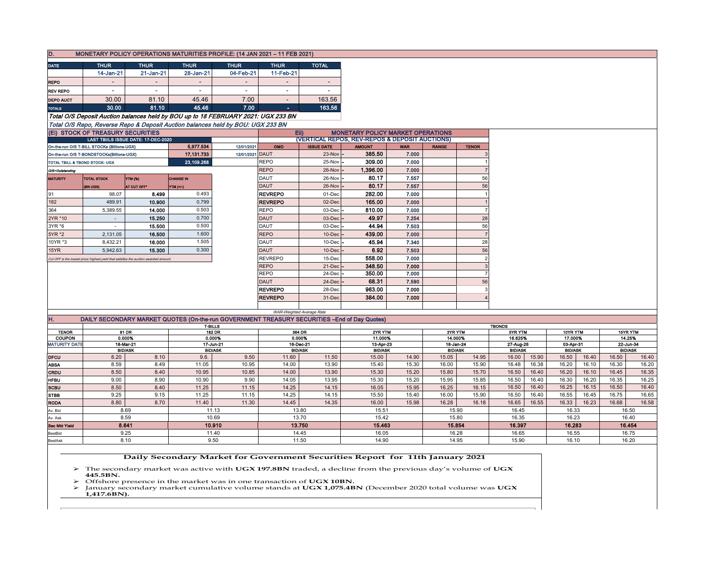| D.                   |                                             |                                                                                      |                    | MONETARY POLICY OPERATIONS MATURITIES PROFILE: (14 JAN 2021 - 11 FEB 2021)                   |                                  |                             |                                                |                |                             |                |                             |         |                             |          |          |                |
|----------------------|---------------------------------------------|--------------------------------------------------------------------------------------|--------------------|----------------------------------------------------------------------------------------------|----------------------------------|-----------------------------|------------------------------------------------|----------------|-----------------------------|----------------|-----------------------------|---------|-----------------------------|----------|----------|----------------|
| <b>DATE</b>          | <b>THUR</b>                                 | <b>THUR</b>                                                                          | <b>THUR</b>        | <b>THUR</b>                                                                                  | <b>THUR</b>                      | <b>TOTAL</b>                |                                                |                |                             |                |                             |         |                             |          |          |                |
|                      | 14-Jan-21                                   | $21$ -Jan-21                                                                         | 28-Jan-21          | 04-Feb-21                                                                                    | 11-Feb-21                        |                             |                                                |                |                             |                |                             |         |                             |          |          |                |
| <b>REPO</b>          |                                             | $\overline{\phantom{a}}$                                                             |                    | $\overline{\phantom{a}}$                                                                     | $\overline{\phantom{a}}$         | $\overline{\phantom{a}}$    |                                                |                |                             |                |                             |         |                             |          |          |                |
| <b>REV REPO</b>      | $\overline{\phantom{a}}$                    | $\overline{\phantom{a}}$                                                             | $\sim$             | $\overline{\phantom{a}}$                                                                     | $\overline{\phantom{a}}$         | $\overline{\phantom{a}}$    |                                                |                |                             |                |                             |         |                             |          |          |                |
| <b>DEPO AUCT</b>     | 30.00                                       | 81.10                                                                                | 45.46              | 7.00                                                                                         |                                  | 163.56                      |                                                |                |                             |                |                             |         |                             |          |          |                |
| <b>TOTALS</b>        | 30,00                                       | 81.10                                                                                | 45.46              | 7.00                                                                                         | $\sim$                           | 163.56                      |                                                |                |                             |                |                             |         |                             |          |          |                |
|                      |                                             |                                                                                      |                    | Total O/S Deposit Auction balances held by BOU up to 18 FEBRUARY 2021: UGX 233 BN            |                                  |                             |                                                |                |                             |                |                             |         |                             |          |          |                |
|                      |                                             |                                                                                      |                    | Total O/S Repo, Reverse Repo & Deposit Auction balances held by BOU: UGX 233 BN              |                                  |                             |                                                |                |                             |                |                             |         |                             |          |          |                |
|                      | (Ei) STOCK OF TREASURY SECURITIES           |                                                                                      |                    |                                                                                              |                                  | EID                         | <b>MONETARY POLICY MARKET OPERATIONS</b>       |                |                             |                |                             |         |                             |          |          |                |
|                      |                                             | LAST TBIILS ISSUE DATE: 17-DEC-2020                                                  |                    |                                                                                              |                                  |                             | (VERTICAL REPOS, REV-REPOS & DEPOSIT AUCTIONS) |                |                             |                |                             |         |                             |          |          |                |
|                      | On-the-run O/S T-BILL STOCKs (Billions-UGX) |                                                                                      | 5.977.534          | 12/01/2021                                                                                   | OMO                              | <b>ISSUE DATE</b>           | <b>AMOUNT</b>                                  | <b>WAR</b>     | <b>RANGE</b>                | <b>TENOR</b>   |                             |         |                             |          |          |                |
|                      | On-the-run O/S T-BONDSTOCKs(Billions-UGX)   |                                                                                      | 17, 131, 733       | 12/01/2021                                                                                   | <b>DAUT</b>                      | $23-Nov -$                  | 385.50                                         | 7.000          |                             |                |                             |         |                             |          |          |                |
|                      | TOTAL TBILL & TBOND STOCK- UGX              |                                                                                      | 23,109.268         |                                                                                              | <b>REPO</b>                      | 25-Nov                      | 309.00                                         | 7.000          |                             |                |                             |         |                             |          |          |                |
| O/S=Outstanding      |                                             |                                                                                      |                    |                                                                                              | <b>REPO</b>                      | 26-Nov                      | 1,396.00                                       | 7.000          |                             |                |                             |         |                             |          |          |                |
| <b>MATURITY</b>      | <b>TOTAL STOCK</b>                          | YTM (%)                                                                              | <b>CHANGE IN</b>   |                                                                                              | DAUT                             | 26-Nov                      | 80.17                                          | 7.557          |                             | 56             |                             |         |                             |          |          |                |
|                      | (BN UGX)                                    | <b>AT CUT OFF*</b>                                                                   | YTM (+/-)<br>0.493 |                                                                                              | <b>DAUT</b>                      | 26-Nov                      | 80.17<br>282.00                                | 7.557          |                             | 56             |                             |         |                             |          |          |                |
| 91<br>182            | 98.07<br>489.91                             | 8.499<br>10.900                                                                      | 0.799              |                                                                                              | <b>REVREPO</b><br><b>REVREPO</b> | 01-Dec<br>02-Dec            | 165.00                                         | 7.000<br>7.000 |                             |                |                             |         |                             |          |          |                |
| 364                  | 5,389.55                                    | 14.000                                                                               | 0.503              |                                                                                              | <b>REPO</b>                      | 03-Dec                      | 810.00                                         | 7.000          |                             |                |                             |         |                             |          |          |                |
| 2YR *10              | $\sim$                                      | 15.250                                                                               | 0.700              |                                                                                              | <b>DAUT</b>                      | $03$ -Dec $\cdot$           | 49.97                                          | 7.254          |                             | 28             |                             |         |                             |          |          |                |
| 3YR *6               |                                             | 15.500                                                                               | 0.500              |                                                                                              | DAUT                             | $03$ -Dec                   | 44.94                                          | 7.503          |                             | 56             |                             |         |                             |          |          |                |
| 5YR *2               | 2,131.05                                    | 16.500                                                                               | 1.600              |                                                                                              | <b>REPO</b>                      | 10-Dec                      | 439.00                                         | 7.000          |                             | $\overline{7}$ |                             |         |                             |          |          |                |
| 10YR *3              | 8.432.21                                    | 16.000                                                                               | 1.505              |                                                                                              | DAUT                             | $10$ -Dec                   | 45.94                                          | 7.340          |                             | 28             |                             |         |                             |          |          |                |
| 15YR                 | 5,942.63                                    | 15.300                                                                               | 0.300              |                                                                                              | <b>DAUT</b>                      | 10-Dec                      | 6.92                                           | 7.503          |                             | 56             |                             |         |                             |          |          |                |
|                      |                                             | Cut OFF is the lowest price/ highest yield that satisfies the auction awarded amount |                    |                                                                                              | <b>REVREPO</b>                   | 15-Dec                      | 558.00                                         | 7.000          |                             | $\overline{2}$ |                             |         |                             |          |          |                |
|                      |                                             |                                                                                      |                    |                                                                                              | <b>REPO</b>                      | $21-Dec$                    | 348.50                                         | 7.000          |                             | 3              |                             |         |                             |          |          |                |
|                      |                                             |                                                                                      |                    |                                                                                              | <b>REPO</b>                      | 24-Dec                      | 350.00                                         | 7.000          |                             | $\overline{7}$ |                             |         |                             |          |          |                |
|                      |                                             |                                                                                      |                    |                                                                                              | <b>DAUT</b>                      | 24-Dec                      | 68.31                                          | 7.590          |                             | 56             |                             |         |                             |          |          |                |
|                      |                                             |                                                                                      |                    |                                                                                              | <b>REVREPO</b>                   | 28-Dec                      | 963.00                                         | 7.000          |                             | 3              |                             |         |                             |          |          |                |
|                      |                                             |                                                                                      |                    |                                                                                              | <b>REVREPO</b>                   | 31-Dec                      | 384.00                                         | 7.000          |                             |                |                             |         |                             |          |          |                |
|                      |                                             |                                                                                      |                    |                                                                                              |                                  |                             |                                                |                |                             |                |                             |         |                             |          |          |                |
| H.                   |                                             |                                                                                      |                    | DAILY SECONDARY MARKET QUOTES (On-the-run GOVERNMENT TREASURY SECURITIES -End of Day Quotes) |                                  | WAR-Weighted Average Rate   |                                                |                |                             |                |                             |         |                             |          |          |                |
|                      |                                             |                                                                                      |                    | T-BILLS                                                                                      |                                  |                             |                                                |                |                             |                | <b>TBONDS</b>               |         |                             |          |          |                |
| <b>TENOR</b>         | 91 DR                                       |                                                                                      |                    | <b>182 DR</b>                                                                                |                                  | 364 DR                      |                                                | 2YR YTM        |                             | 3YR YTM        |                             | 5YR YTM |                             | 10YR YTM | 15YR YTM |                |
| <b>COUPON</b>        |                                             | 0.000%<br>0.000%<br>0.000%<br>11.000%<br>14.000%                                     |                    | 16.625%                                                                                      |                                  |                             | 17.000%                                        |                | 14.25%<br>22-Jun-34         |                |                             |         |                             |          |          |                |
| <b>MATURITY DATE</b> |                                             | 18-Mar-21<br><b>BID/ASK</b>                                                          |                    | 17-Jun-21<br><b>BID/ASK</b>                                                                  |                                  | 16-Dec-21<br><b>BID/ASK</b> | 13-Apr-23<br><b>BID/ASK</b>                    |                | 18-Jan-24<br><b>BID/ASK</b> |                | 27-Aug-26<br><b>BID/ASK</b> |         | 03-Apr-31<br><b>BID/ASK</b> |          |          | <b>BID/ASK</b> |
| <b>DFCU</b>          | 8.20                                        | 8.10                                                                                 | 9.6.               | 9.50                                                                                         | 11.60                            | 11.50                       | 15.00                                          | 14.90          | 15.05                       | 14.95          | 16.00                       | 15.90   | 16.50                       | 16.40    | 16.50    | 16.40          |
| <b>ABSA</b>          | 8.59                                        | 8.49                                                                                 | 11.05              | 10.95                                                                                        | 14.00                            | 13.90                       | 15.40                                          | 15.30          | 16.00                       | 15.90          | 16.48                       | 16.38   | 16.20                       | 16.10    | 16.30    | 16.20          |

| SCBU           | 8.50          | 8.40 | 11.25  | 11.15 | 14.25  | 14.15 | 16.05 | 15.95  | 16.25 | 16.15  | 16.50  | 16.40 | 16.25  | 16.15 | 16.50  | 16.40 |
|----------------|---------------|------|--------|-------|--------|-------|-------|--------|-------|--------|--------|-------|--------|-------|--------|-------|
| STBB           | 9.25          | 9.15 | 11.25  | 11.15 | 14.25  | 14.15 | 15.50 | 15.40  | 16.00 | 15.90  | 16.50  | 16.40 | 16.55  | 16.45 | 16.75  | 16.65 |
| <b>RODA</b>    | 8.80          | 8.70 | 11.40  | 11.30 | 14.45  | 14.35 | 16.00 | 15.98  | 16.28 | 16.18  | 16.65  | 16.55 | 16.33  | 16.23 | 16.68  | 16.58 |
| Av. Bid        | 11.13<br>8.69 |      | 13.80  |       | 15.51  |       | 15.90 |        | 16.45 |        | 16.33  |       | 16.50  |       |        |       |
| Av. Ask        | 8.59          |      | 10.69  |       | 13.70  |       | 15.42 |        | 15.80 |        | 16.35  |       | 16.23  |       | 16.40  |       |
| Sec Mkt Yleid  | 8.641         |      | 10.910 |       | 13.750 |       |       | 15.463 |       | 15.854 | 16.397 |       | 16.283 |       | 16.454 |       |
| BestBid        | 9.25          |      | 11.40  |       | 14.45  |       | 16.05 |        | 16.28 |        | 16.65  |       | 16.55  |       | 16.75  |       |
| <b>BestAsk</b> | 9.50<br>8.10  |      | 11.50  |       | 14.90  |       | 14.95 |        | 15.90 |        | 16.10  |       | 16.20  |       |        |       |
|                |               |      |        |       |        |       |       |        |       |        |        |       |        |       |        |       |

**CRDU** | 8.50 | 8.40 | 10.95 | 10.85 14.00 13.90 15.30 15.20 15.80 15.70 16.40 16.40 16.20 16.10 16.45 16.35 **HFBU** │ 9.00│ 8.90│ 10.90│ 9.90│ 14.05│ 13.95│ 13.95│ 15.30│ 15.20│ 15.95│ 16.85│ 16.40│ 16.30│ 16.20│ 16.35│ 16.25

 **Daily Secondary Market for Government Securities Report for 11th January 2021**

 The secondary market was active with **UGX 197.8BN** traded, a decline from the previous day's volume of **UGX 445.5BN.**

**►** Offshore presence in the market was in one transaction of **UGX 10BN.** ► January secondary market cumulative volume stands at **UGX 1,075.4B** 

 January secondary market cumulative volume stands at **UGX 1,075.4BN** (December 2020 total volume was **UGX 1,417.6BN).**